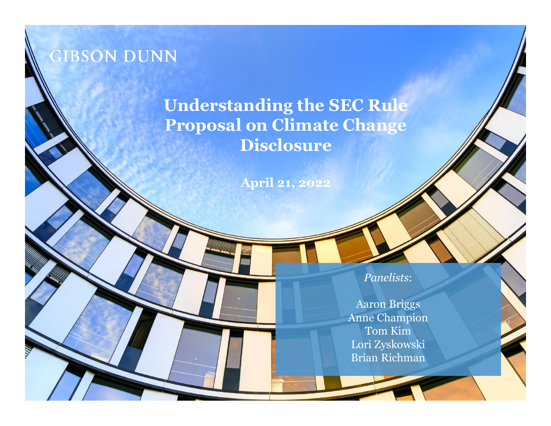

#### **Understanding the SEC Rule Proposal on Climate Change Disclosure**

**April 21, 2022**

*Panelists*:

Aaron Briggs Anne Champion Tom Kim Lori Zyskowski Brian Richman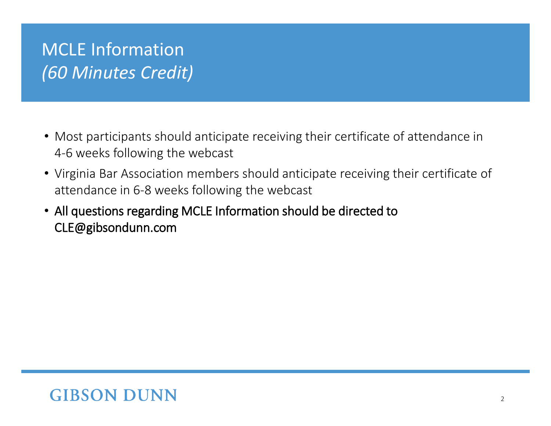# MCLE Information *(60 Minutes Credit)*

- Most participants should anticipate receiving their certificate of attendance in 4‐6 weeks following the webcast
- Virginia Bar Association members should anticipate receiving their certificate of attendance in 6‐8 weeks following the webcast
- All questions regarding MCLE Information should be directed to CLE@gibsondunn.com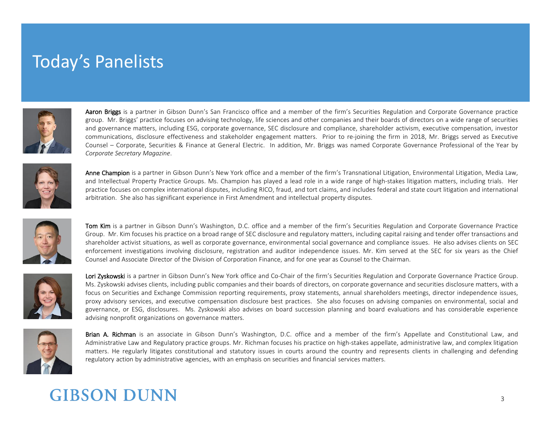### Today's Panelists



Aaron Briggs is a partner in Gibson Dunn's San Francisco office and a member of the firm's Securities Regulation and Corporate Governance practice group. Mr. Briggs' practice focuses on advising technology, life sciences and other companies and their boards of directors on a wide range of securities and governance matters, including ESG, corporate governance, SEC disclosure and compliance, shareholder activism, executive compensation, investor communications, disclosure effectiveness and stakeholder engagement matters. Prior to re-joining the firm in 2018, Mr. Briggs served as Executive Counsel – Corporate, Securities & Finance at General Electric. In addition, Mr. Briggs was named Corporate Governance Professional of the Year by *Corporate Secretary Magazine*.



Anne Champion is a partner in Gibson Dunn's New York office and a member of the firm's Transnational Litigation, Environmental Litigation, Media Law, and Intellectual Property Practice Groups. Ms. Champion has played a lead role in a wide range of high-stakes litigation matters, including trials. Her practice focuses on complex international disputes, including RICO, fraud, and tort claims, and includes federal and state court litigation and international arbitration. She also has significant experience in First Amendment and intellectual property disputes.



Tom Kim is a partner in Gibson Dunn's Washington, D.C. office and a member of the firm's Securities Regulation and Corporate Governance Practice Group. Mr. Kim focuses his practice on a broad range of SEC disclosure and regulatory matters, including capital raising and tender offer transactions and shareholder activist situations, as well as corporate governance, environmental social governance and compliance issues. He also advises clients on SEC enforcement investigations involving disclosure, registration and auditor independence issues. Mr. Kim served at the SEC for six years as the Chief Counsel and Associate Director of the Division of Corporation Finance, and for one year as Counsel to the Chairman.



Lori Zyskowski is a partner in Gibson Dunn's New York office and Co-Chair of the firm's Securities Regulation and Corporate Governance Practice Group. Ms. Zyskowski advises clients, including public companies and their boards of directors, on corporate governance and securities disclosure matters, with a focus on Securities and Exchange Commission reporting requirements, proxy statements, annual shareholders meetings, director independence issues, proxy advisory services, and executive compensation disclosure best practices. She also focuses on advising companies on environmental, social and governance, or ESG, disclosures. Ms. Zyskowski also advises on board succession planning and board evaluations and has considerable experience advising nonprofit organizations on governance matters.



Brian A. Richman is an associate in Gibson Dunn's Washington, D.C. office and a member of the firm's Appellate and Constitutional Law, and Administrative Law and Regulatory practice groups. Mr. Richman focuses his practice on high-stakes appellate, administrative law, and complex litigation matters. He regularly litigates constitutional and statutory issues in courts around the country and represents clients in challenging and defending regulatory action by administrative agencies, with an emphasis on securities and financial services matters.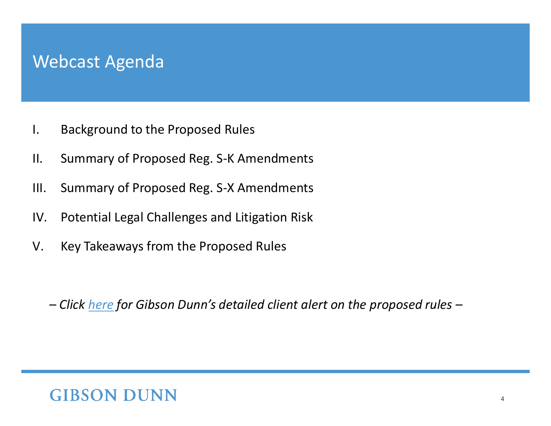#### Webcast Agenda

- I. Background to the Proposed Rules
- II. Summary of Proposed Reg. S-K Amendments
- III. Summary of Proposed Reg. S-X Amendments
- IV. Potential Legal Challenges and Litigation Risk
- V. Key Takeaways from the Proposed Rules

*– Click [here](https://www.gibsondunn.com/summary-of-and-considerations-regarding-the-sec-proposed-rules-on-climate-change-disclosure/) for Gibson Dunn's detailed client alert on the proposed rules –*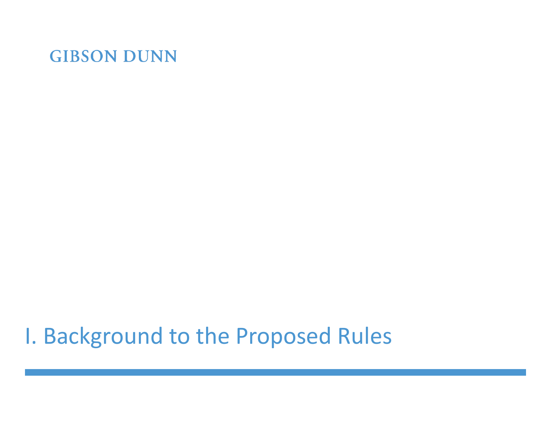# I. Background to the Proposed Rules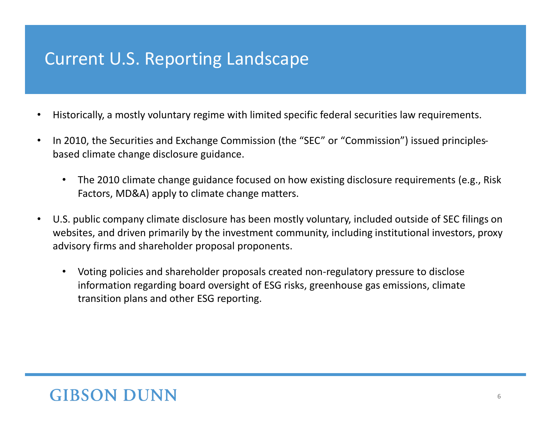### Current U.S. Reporting Landscape

- Historically, a mostly voluntary regime with limited specific federal securities law requirements.
- In 2010, the Securities and Exchange Commission (the "SEC" or "Commission") issued principlesbased climate change disclosure guidance.
	- The 2010 climate change guidance focused on how existing disclosure requirements (e.g., Risk Factors, MD&A) apply to climate change matters.
- U.S. public company climate disclosure has been mostly voluntary, included outside of SEC filings on websites, and driven primarily by the investment community, including institutional investors, proxy advisory firms and shareholder proposal proponents.
	- Voting policies and shareholder proposals created non-regulatory pressure to disclose information regarding board oversight of ESG risks, greenhouse gas emissions, climate transition plans and other ESG reporting.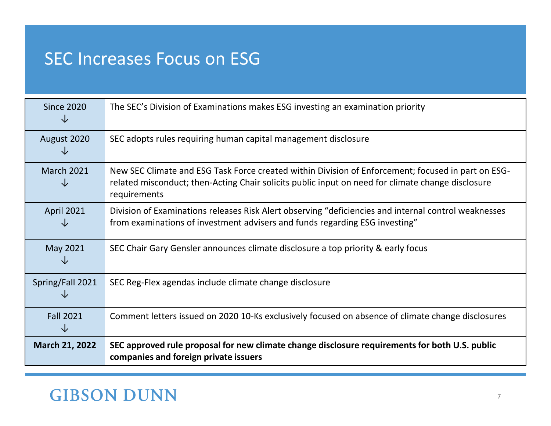### SEC Increases Focus on ESG

| <b>Since 2020</b><br>◡ | The SEC's Division of Examinations makes ESG investing an examination priority                                                                                                                                          |
|------------------------|-------------------------------------------------------------------------------------------------------------------------------------------------------------------------------------------------------------------------|
| August 2020<br>◡       | SEC adopts rules requiring human capital management disclosure                                                                                                                                                          |
| <b>March 2021</b><br>◡ | New SEC Climate and ESG Task Force created within Division of Enforcement; focused in part on ESG-<br>related misconduct; then-Acting Chair solicits public input on need for climate change disclosure<br>requirements |
| <b>April 2021</b><br>◡ | Division of Examinations releases Risk Alert observing "deficiencies and internal control weaknesses<br>from examinations of investment advisers and funds regarding ESG investing"                                     |
| May 2021               | SEC Chair Gary Gensler announces climate disclosure a top priority & early focus                                                                                                                                        |
| Spring/Fall 2021       | SEC Reg-Flex agendas include climate change disclosure                                                                                                                                                                  |
| <b>Fall 2021</b><br>↓  | Comment letters issued on 2020 10-Ks exclusively focused on absence of climate change disclosures                                                                                                                       |
| <b>March 21, 2022</b>  | SEC approved rule proposal for new climate change disclosure requirements for both U.S. public<br>companies and foreign private issuers                                                                                 |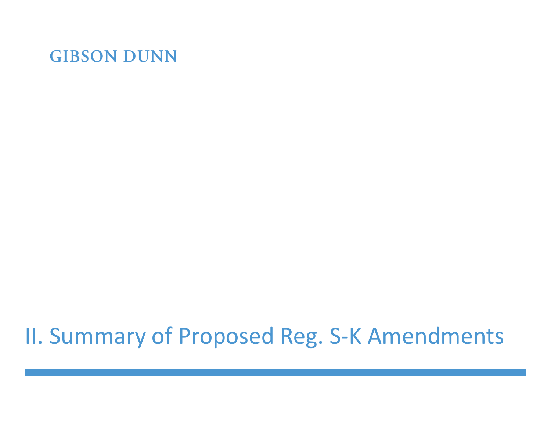# II. Summary of Proposed Reg. S-K Amendments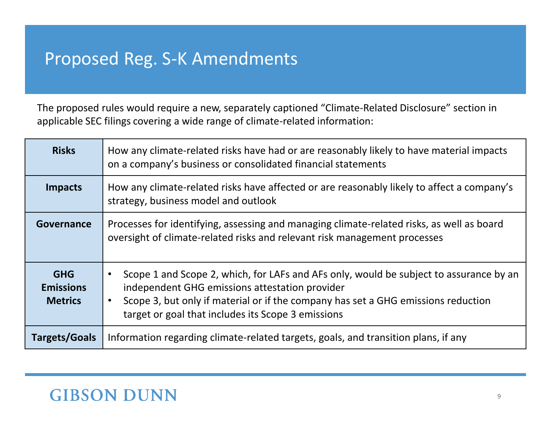## Proposed Reg. S-K Amendments

The proposed rules would require a new, separately captioned "Climate-Related Disclosure" section in applicable SEC filings covering a wide range of climate-related information:

| <b>Risks</b>                                     | How any climate-related risks have had or are reasonably likely to have material impacts<br>on a company's business or consolidated financial statements                                                                                                                                         |
|--------------------------------------------------|--------------------------------------------------------------------------------------------------------------------------------------------------------------------------------------------------------------------------------------------------------------------------------------------------|
| <b>Impacts</b>                                   | How any climate-related risks have affected or are reasonably likely to affect a company's<br>strategy, business model and outlook                                                                                                                                                               |
| Governance                                       | Processes for identifying, assessing and managing climate-related risks, as well as board<br>oversight of climate-related risks and relevant risk management processes                                                                                                                           |
| <b>GHG</b><br><b>Emissions</b><br><b>Metrics</b> | Scope 1 and Scope 2, which, for LAFs and AFs only, would be subject to assurance by an<br>$\bullet$<br>independent GHG emissions attestation provider<br>Scope 3, but only if material or if the company has set a GHG emissions reduction<br>target or goal that includes its Scope 3 emissions |
| <b>Targets/Goals</b>                             | Information regarding climate-related targets, goals, and transition plans, if any                                                                                                                                                                                                               |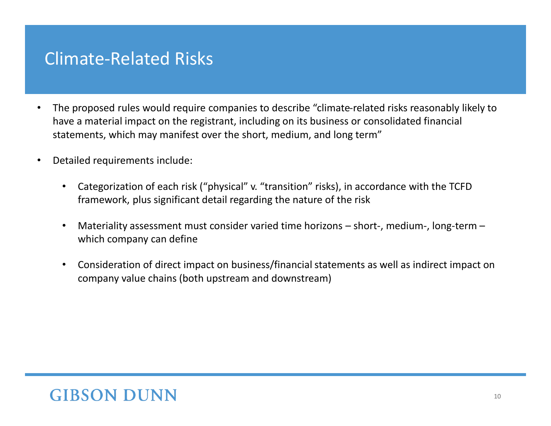#### Climate-Related Risks

- The proposed rules would require companies to describe "climate-related risks reasonably likely to have a material impact on the registrant, including on its business or consolidated financial statements, which may manifest over the short, medium, and long term"
- Detailed requirements include:
	- Categorization of each risk ("physical" v. "transition" risks), in accordance with the TCFD framework, plus significant detail regarding the nature of the risk
	- Materiality assessment must consider varied time horizons short-, medium-, long-term which company can define
	- Consideration of direct impact on business/financial statements as well as indirect impact on company value chains (both upstream and downstream)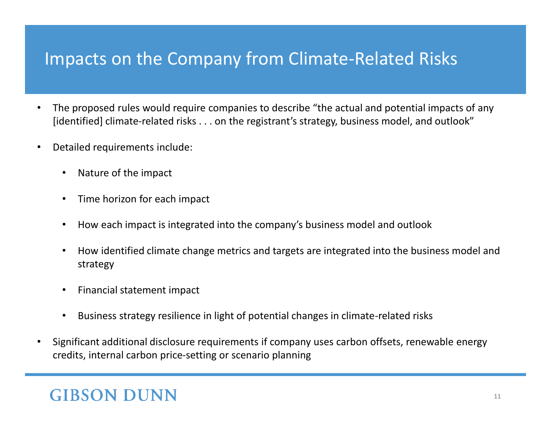## Impacts on the Company from Climate-Related Risks

- The proposed rules would require companies to describe "the actual and potential impacts of any [identified] climate-related risks . . . on the registrant's strategy, business model, and outlook"
- Detailed requirements include:
	- Nature of the impact
	- Time horizon for each impact
	- How each impact is integrated into the company's business model and outlook
	- How identified climate change metrics and targets are integrated into the business model and strategy
	- Financial statement impact
	- Business strategy resilience in light of potential changes in climate-related risks
- Significant additional disclosure requirements if company uses carbon offsets, renewable energy credits, internal carbon price-setting or scenario planning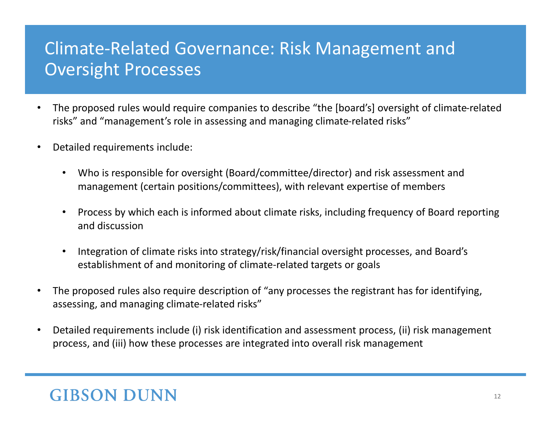## Climate-Related Governance: Risk Management and Oversight Processes

- The proposed rules would require companies to describe "the [board's] oversight of climate-related risks" and "management's role in assessing and managing climate-related risks"
- Detailed requirements include:
	- Who is responsible for oversight (Board/committee/director) and risk assessment and management (certain positions/committees), with relevant expertise of members
	- Process by which each is informed about climate risks, including frequency of Board reporting and discussion
	- Integration of climate risks into strategy/risk/financial oversight processes, and Board's establishment of and monitoring of climate-related targets or goals
- The proposed rules also require description of "any processes the registrant has for identifying, assessing, and managing climate-related risks"
- Detailed requirements include (i) risk identification and assessment process, (ii) risk management process, and (iii) how these processes are integrated into overall risk management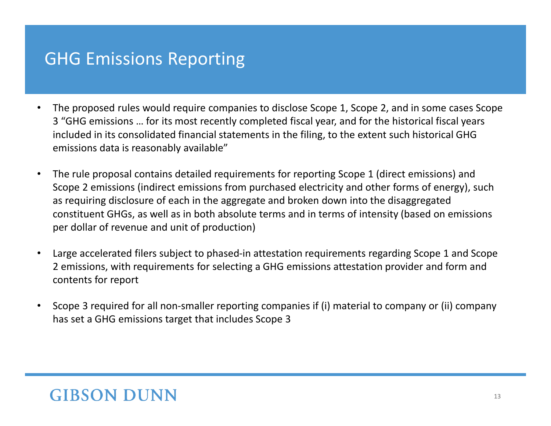#### GHG Emissions Reporting

- The proposed rules would require companies to disclose Scope 1, Scope 2, and in some cases Scope 3 "GHG emissions … for its most recently completed fiscal year, and for the historical fiscal years included in its consolidated financial statements in the filing, to the extent such historical GHG emissions data is reasonably available"
- The rule proposal contains detailed requirements for reporting Scope 1 (direct emissions) and Scope 2 emissions (indirect emissions from purchased electricity and other forms of energy), such as requiring disclosure of each in the aggregate and broken down into the disaggregated constituent GHGs, as well as in both absolute terms and in terms of intensity (based on emissions per dollar of revenue and unit of production)
- Large accelerated filers subject to phased-in attestation requirements regarding Scope 1 and Scope 2 emissions, with requirements for selecting a GHG emissions attestation provider and form and contents for report
- Scope 3 required for all non-smaller reporting companies if (i) material to company or (ii) company has set a GHG emissions target that includes Scope 3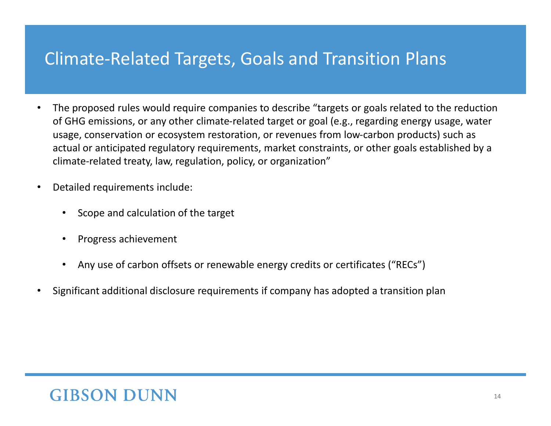#### Climate-Related Targets, Goals and Transition Plans

- The proposed rules would require companies to describe "targets or goals related to the reduction of GHG emissions, or any other climate-related target or goal (e.g., regarding energy usage, water usage, conservation or ecosystem restoration, or revenues from low-carbon products) such as actual or anticipated regulatory requirements, market constraints, or other goals established by a climate-related treaty, law, regulation, policy, or organization"
- Detailed requirements include:
	- Scope and calculation of the target
	- Progress achievement
	- Any use of carbon offsets or renewable energy credits or certificates ("RECs")
- Significant additional disclosure requirements if company has adopted a transition plan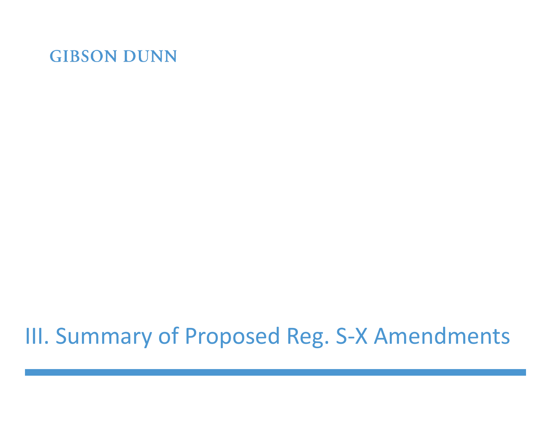# III. Summary of Proposed Reg. S-X Amendments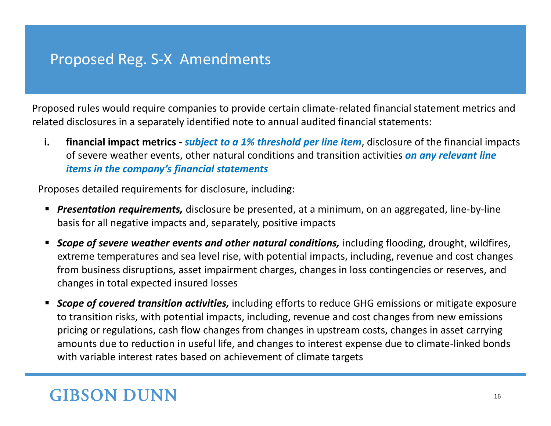#### Proposed Reg. S-X Amendments

Proposed rules would require companies to provide certain climate-related financial statement metrics and related disclosures in a separately identified note to annual audited financial statements:

**i. financial impact metrics -** *subject to a 1% threshold per line item*, disclosure of the financial impacts of severe weather events, other natural conditions and transition activities *on any relevant line items in the company's financial statements* 

Proposes detailed requirements for disclosure, including:

- **Presentation requirements,** disclosure be presented, at a minimum, on an aggregated, line-by-line basis for all negative impacts and, separately, positive impacts
- **Scope of severe weather events and other natural conditions, including flooding, drought, wildfires,** extreme temperatures and sea level rise, with potential impacts, including, revenue and cost changes from business disruptions, asset impairment charges, changes in loss contingencies or reserves, and changes in total expected insured losses
- *Scope of covered transition activities*, including efforts to reduce GHG emissions or mitigate exposure to transition risks, with potential impacts, including, revenue and cost changes from new emissions pricing or regulations, cash flow changes from changes in upstream costs, changes in asset carrying amounts due to reduction in useful life, and changes to interest expense due to climate-linked bonds with variable interest rates based on achievement of climate targets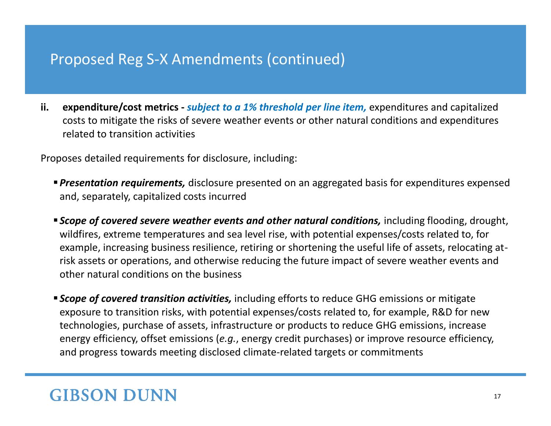#### Proposed Reg S-X Amendments (continued)

**ii. expenditure/cost metrics -** *subject to a 1% threshold per line item,* expenditures and capitalized costs to mitigate the risks of severe weather events or other natural conditions and expenditures related to transition activities

Proposes detailed requirements for disclosure, including:

- *Presentation requirements,* disclosure presented on an aggregated basis for expenditures expensed and, separately, capitalized costs incurred
- **Example of covered severe weather events and other natural conditions, including flooding, drought,** wildfires, extreme temperatures and sea level rise, with potential expenses/costs related to, for example, increasing business resilience, retiring or shortening the useful life of assets, relocating atrisk assets or operations, and otherwise reducing the future impact of severe weather events and other natural conditions on the business
- **Example of covered transition activities,** including efforts to reduce GHG emissions or mitigate exposure to transition risks, with potential expenses/costs related to, for example, R&D for new technologies, purchase of assets, infrastructure or products to reduce GHG emissions, increase energy efficiency, offset emissions (*e.g.*, energy credit purchases) or improve resource efficiency, and progress towards meeting disclosed climate-related targets or commitments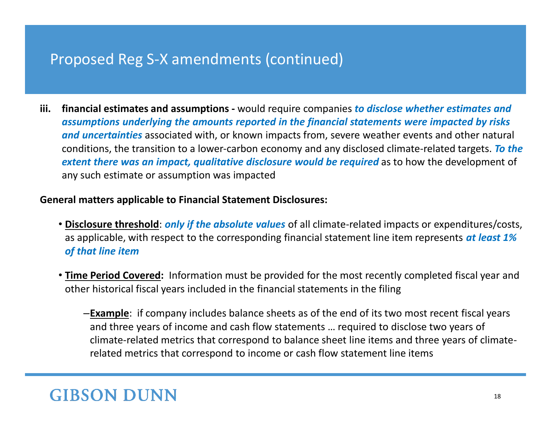#### Proposed Reg S-X amendments (continued)

**iii. financial estimates and assumptions -** would require companies *to disclose whether estimates and assumptions underlying the amounts reported in the financial statements were impacted by risks and uncertainties* associated with, or known impacts from, severe weather events and other natural conditions, the transition to a lower-carbon economy and any disclosed climate-related targets. *To the extent there was an impact, qualitative disclosure would be required* as to how the development of any such estimate or assumption was impacted

#### **General matters applicable to Financial Statement Disclosures:**

- **Disclosure threshold**: *only if the absolute values* of all climate-related impacts or expenditures/costs, as applicable, with respect to the corresponding financial statement line item represents *at least 1% of that line item*
- **Time Period Covered:** Information must be provided for the most recently completed fiscal year and other historical fiscal years included in the financial statements in the filing
	- ‒**Example**: if company includes balance sheets as of the end of its two most recent fiscal years and three years of income and cash flow statements … required to disclose two years of climate-related metrics that correspond to balance sheet line items and three years of climaterelated metrics that correspond to income or cash flow statement line items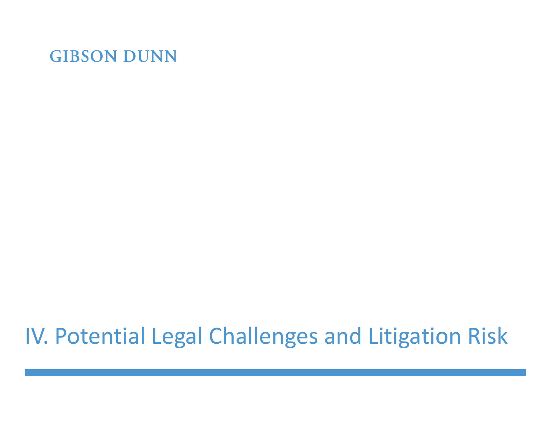# IV. Potential Legal Challenges and Litigation Risk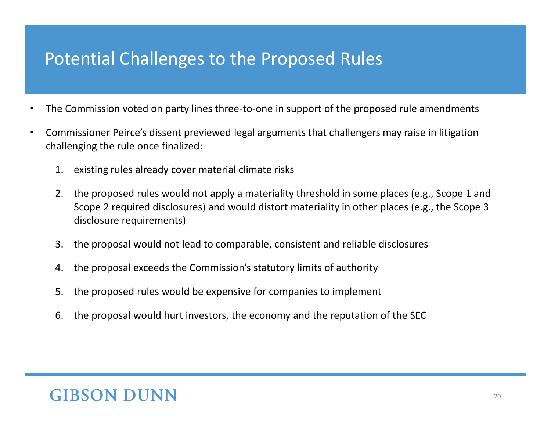## Potential Challenges to the Proposed Rules

- The Commission voted on party lines three-to-one in support of the proposed rule amendments
- Commissioner Peirce's dissent previewed legal arguments that challengers may raise in litigation challenging the rule once finalized:
	- 1. existing rules already cover material climate risks
	- 2. the proposed rules would not apply a materiality threshold in some places (e.g., Scope 1 and Scope 2 required disclosures) and would distort materiality in other places (e.g., the Scope 3 disclosure requirements)
	- 3. the proposal would not lead to comparable, consistent and reliable disclosures
	- 4. the proposal exceeds the Commission's statutory limits of authority
	- 5. the proposed rules would be expensive for companies to implement
	- 6. the proposal would hurt investors, the economy and the reputation of the SEC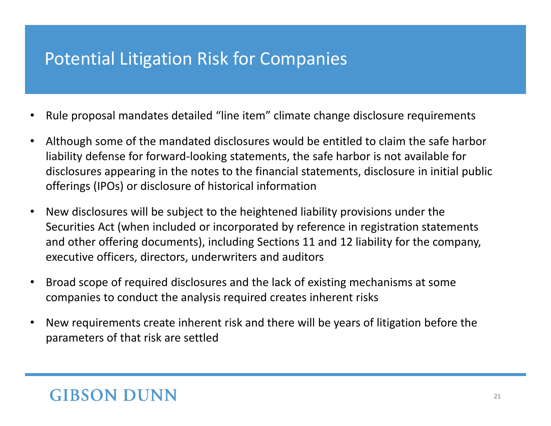## Potential Litigation Risk for Companies

- Rule proposal mandates detailed "line item" climate change disclosure requirements
- Although some of the mandated disclosures would be entitled to claim the safe harbor liability defense for forward-looking statements, the safe harbor is not available for disclosures appearing in the notes to the financial statements, disclosure in initial public offerings (IPOs) or disclosure of historical information
- New disclosures will be subject to the heightened liability provisions under the Securities Act (when included or incorporated by reference in registration statements and other offering documents), including Sections 11 and 12 liability for the company, executive officers, directors, underwriters and auditors
- Broad scope of required disclosures and the lack of existing mechanisms at some companies to conduct the analysis required creates inherent risks
- New requirements create inherent risk and there will be years of litigation before the parameters of that risk are settled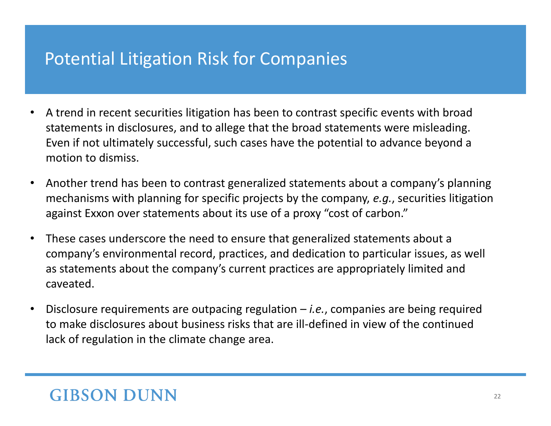## Potential Litigation Risk for Companies

- A trend in recent securities litigation has been to contrast specific events with broad statements in disclosures, and to allege that the broad statements were misleading. Even if not ultimately successful, such cases have the potential to advance beyond a motion to dismiss.
- Another trend has been to contrast generalized statements about a company's planning mechanisms with planning for specific projects by the company, *e.g.*, securities litigation against Exxon over statements about its use of a proxy "cost of carbon."
- These cases underscore the need to ensure that generalized statements about a company's environmental record, practices, and dedication to particular issues, as well as statements about the company's current practices are appropriately limited and caveated.
- Disclosure requirements are outpacing regulation *i.e.*, companies are being required to make disclosures about business risks that are ill-defined in view of the continued lack of regulation in the climate change area.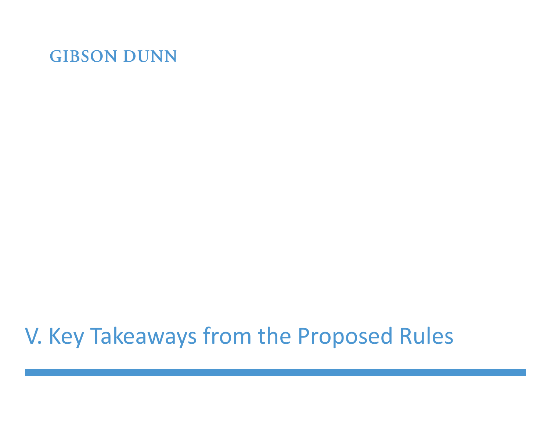# V. Key Takeaways from the Proposed Rules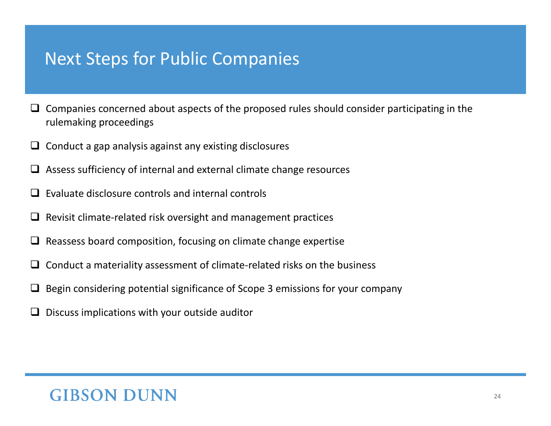#### Next Steps for Public Companies

- $\Box$  Companies concerned about aspects of the proposed rules should consider participating in the rulemaking proceedings
- $\Box$  Conduct a gap analysis against any existing disclosures
- ❑ Assess sufficiency of internal and external climate change resources
- ❑ Evaluate disclosure controls and internal controls
- ❑ Revisit climate-related risk oversight and management practices
- $\Box$  Reassess board composition, focusing on climate change expertise
- $\Box$  Conduct a materiality assessment of climate-related risks on the business
- ❑ Begin considering potential significance of Scope 3 emissions for your company
- ❑ Discuss implications with your outside auditor